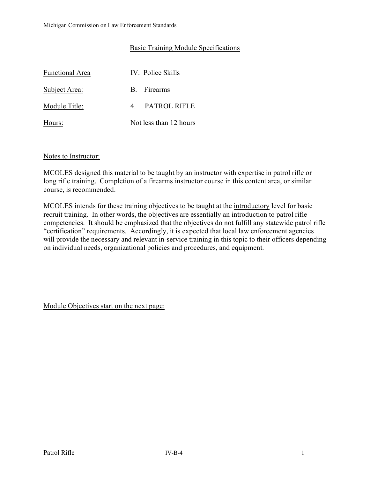## Basic Training Module Specifications

| <b>Functional Area</b> | IV. Police Skills      |
|------------------------|------------------------|
| Subject Area:          | B. Firearms            |
| Module Title:          | 4. PATROL RIFLE        |
| Hours:                 | Not less than 12 hours |

#### Notes to Instructor:

MCOLES designed this material to be taught by an instructor with expertise in patrol rifle or long rifle training. Completion of a firearms instructor course in this content area, or similar course, is recommended.

MCOLES intends for these training objectives to be taught at the introductory level for basic recruit training. In other words, the objectives are essentially an introduction to patrol rifle competencies. It should be emphasized that the objectives do not fulfill any statewide patrol rifle "certification" requirements. Accordingly, it is expected that local law enforcement agencies will provide the necessary and relevant in-service training in this topic to their officers depending on individual needs, organizational policies and procedures, and equipment.

Module Objectives start on the next page: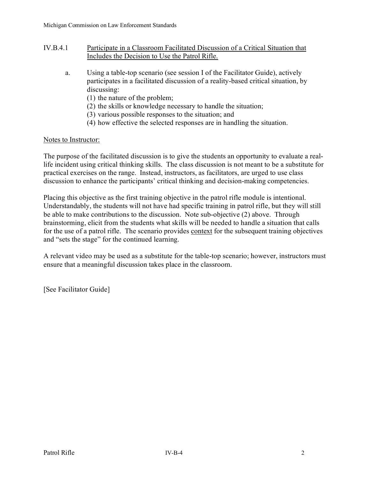- IV.B.4.1 Participate in a Classroom Facilitated Discussion of a Critical Situation that Includes the Decision to Use the Patrol Rifle.
	- a. Using a table-top scenario (see session I of the Facilitator Guide), actively participates in a facilitated discussion of a reality-based critical situation, by discussing:
		- (1) the nature of the problem;
		- (2) the skills or knowledge necessary to handle the situation;
		- (3) various possible responses to the situation; and
		- (4) how effective the selected responses are in handling the situation.

#### Notes to Instructor:

The purpose of the facilitated discussion is to give the students an opportunity to evaluate a reallife incident using critical thinking skills. The class discussion is not meant to be a substitute for practical exercises on the range. Instead, instructors, as facilitators, are urged to use class discussion to enhance the participants' critical thinking and decision-making competencies.

Placing this objective as the first training objective in the patrol rifle module is intentional. Understandably, the students will not have had specific training in patrol rifle, but they will still be able to make contributions to the discussion. Note sub-objective (2) above. Through brainstorming, elicit from the students what skills will be needed to handle a situation that calls for the use of a patrol rifle. The scenario provides context for the subsequent training objectives and "sets the stage" for the continued learning.

A relevant video may be used as a substitute for the table-top scenario; however, instructors must ensure that a meaningful discussion takes place in the classroom.

[See Facilitator Guide]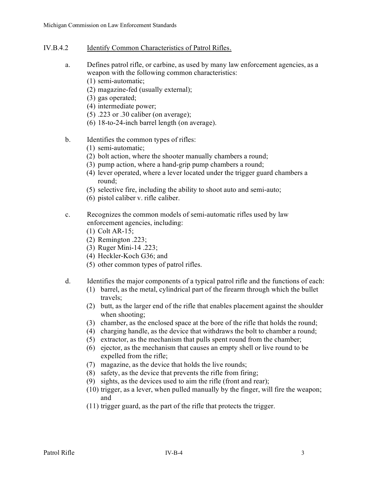- IV.B.4.2 Identify Common Characteristics of Patrol Rifles.
	- a. Defines patrol rifle, or carbine, as used by many law enforcement agencies, as a weapon with the following common characteristics:
		- (1) semi-automatic;
		- (2) magazine-fed (usually external);
		- (3) gas operated;
		- (4) intermediate power;
		- (5) .223 or .30 caliber (on average);
		- (6) 18-to-24-inch barrel length (on average).
	- b. Identifies the common types of rifles:
		- (1) semi-automatic;
		- (2) bolt action, where the shooter manually chambers a round;
		- (3) pump action, where a hand-grip pump chambers a round;
		- (4) lever operated, where a lever located under the trigger guard chambers a round;
		- (5) selective fire, including the ability to shoot auto and semi-auto;
		- (6) pistol caliber v. rifle caliber.
	- c. Recognizes the common models of semi-automatic rifles used by law enforcement agencies, including:
		- (1) Colt AR-15;
		- (2) Remington .223;
		- (3) Ruger Mini-14 .223;
		- (4) Heckler-Koch G36; and
		- (5) other common types of patrol rifles.
	- d. Identifies the major components of a typical patrol rifle and the functions of each:
		- (1) barrel, as the metal, cylindrical part of the firearm through which the bullet travels;
		- (2) butt, as the larger end of the rifle that enables placement against the shoulder when shooting;
		- (3) chamber, as the enclosed space at the bore of the rifle that holds the round;
		- (4) charging handle, as the device that withdraws the bolt to chamber a round;
		- (5) extractor, as the mechanism that pulls spent round from the chamber;
		- (6) ejector, as the mechanism that causes an empty shell or live round to be expelled from the rifle;
		- (7) magazine, as the device that holds the live rounds;
		- (8) safety, as the device that prevents the rifle from firing;
		- (9) sights, as the devices used to aim the rifle (front and rear);
		- (10) trigger, as a lever, when pulled manually by the finger, will fire the weapon; and
		- (11) trigger guard, as the part of the rifle that protects the trigger.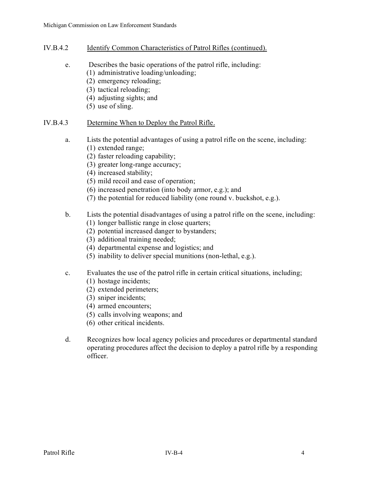- IV.B.4.2 Identify Common Characteristics of Patrol Rifles (continued).
	- e. Describes the basic operations of the patrol rifle, including:
		- (1) administrative loading/unloading;
		- (2) emergency reloading;
		- (3) tactical reloading;
		- (4) adjusting sights; and
		- (5) use of sling.

# IV.B.4.3 Determine When to Deploy the Patrol Rifle.

- a. Lists the potential advantages of using a patrol rifle on the scene, including:
	- (1) extended range;
	- (2) faster reloading capability;
	- (3) greater long-range accuracy;
	- (4) increased stability;
	- (5) mild recoil and ease of operation;
	- (6) increased penetration (into body armor, e.g.); and
	- (7) the potential for reduced liability (one round v. buckshot, e.g.).

# b. Lists the potential disadvantages of using a patrol rifle on the scene, including:

- (1) longer ballistic range in close quarters;
- (2) potential increased danger to bystanders;
- (3) additional training needed;
- (4) departmental expense and logistics; and
- (5) inability to deliver special munitions (non-lethal, e.g.).

# c. Evaluates the use of the patrol rifle in certain critical situations, including;

- (1) hostage incidents;
- (2) extended perimeters;
- (3) sniper incidents;
- (4) armed encounters;
- (5) calls involving weapons; and
- (6) other critical incidents.
- d. Recognizes how local agency policies and procedures or departmental standard operating procedures affect the decision to deploy a patrol rifle by a responding officer.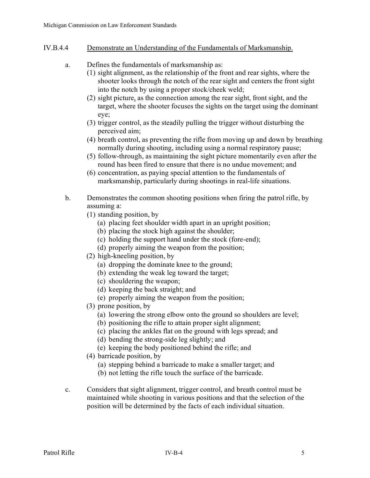- IV.B.4.4 Demonstrate an Understanding of the Fundamentals of Marksmanship.
	- a. Defines the fundamentals of marksmanship as:
		- (1) sight alignment, as the relationship of the front and rear sights, where the shooter looks through the notch of the rear sight and centers the front sight into the notch by using a proper stock/cheek weld;
		- (2) sight picture, as the connection among the rear sight, front sight, and the target, where the shooter focuses the sights on the target using the dominant eye;
		- (3) trigger control, as the steadily pulling the trigger without disturbing the perceived aim;
		- (4) breath control, as preventing the rifle from moving up and down by breathing normally during shooting, including using a normal respiratory pause;
		- (5) follow-through, as maintaining the sight picture momentarily even after the round has been fired to ensure that there is no undue movement; and
		- (6) concentration, as paying special attention to the fundamentals of marksmanship, particularly during shootings in real-life situations.
	- b. Demonstrates the common shooting positions when firing the patrol rifle, by assuming a:
		- (1) standing position, by
			- (a) placing feet shoulder width apart in an upright position;
			- (b) placing the stock high against the shoulder;
			- (c) holding the support hand under the stock (fore-end);
			- (d) properly aiming the weapon from the position;
		- (2) high-kneeling position, by
			- (a) dropping the dominate knee to the ground;
			- (b) extending the weak leg toward the target;
			- (c) shouldering the weapon;
			- (d) keeping the back straight; and
			- (e) properly aiming the weapon from the position;
		- (3) prone position, by
			- (a) lowering the strong elbow onto the ground so shoulders are level;
			- (b) positioning the rifle to attain proper sight alignment;
			- (c) placing the ankles flat on the ground with legs spread; and
			- (d) bending the strong-side leg slightly; and
			- (e) keeping the body positioned behind the rifle; and
		- (4) barricade position, by
			- (a) stepping behind a barricade to make a smaller target; and
			- (b) not letting the rifle touch the surface of the barricade.
	- c. Considers that sight alignment, trigger control, and breath control must be maintained while shooting in various positions and that the selection of the position will be determined by the facts of each individual situation.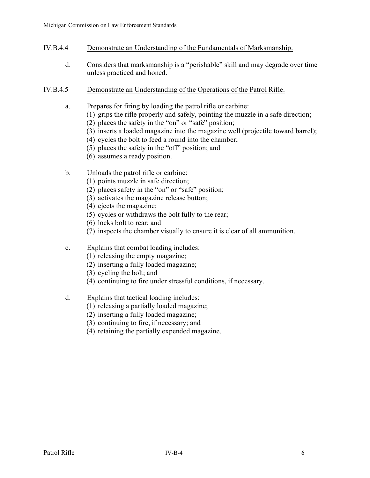- IV.B.4.4 Demonstrate an Understanding of the Fundamentals of Marksmanship.
	- d. Considers that marksmanship is a "perishable" skill and may degrade over time unless practiced and honed.
- IV.B.4.5 Demonstrate an Understanding of the Operations of the Patrol Rifle.
	- a. Prepares for firing by loading the patrol rifle or carbine:
		- (1) grips the rifle properly and safely, pointing the muzzle in a safe direction;
		- (2) places the safety in the "on" or "safe" position;
		- (3) inserts a loaded magazine into the magazine well (projectile toward barrel);
		- (4) cycles the bolt to feed a round into the chamber;
		- (5) places the safety in the "off" position; and
		- (6) assumes a ready position.
	- b. Unloads the patrol rifle or carbine:
		- (1) points muzzle in safe direction;
		- (2) places safety in the "on" or "safe" position;
		- (3) activates the magazine release button;
		- (4) ejects the magazine;
		- (5) cycles or withdraws the bolt fully to the rear;
		- (6) locks bolt to rear; and
		- (7) inspects the chamber visually to ensure it is clear of all ammunition.
	- c. Explains that combat loading includes:
		- (1) releasing the empty magazine;
		- (2) inserting a fully loaded magazine;
		- (3) cycling the bolt; and
		- (4) continuing to fire under stressful conditions, if necessary.
	- d. Explains that tactical loading includes:
		- (1) releasing a partially loaded magazine;
		- (2) inserting a fully loaded magazine;
		- (3) continuing to fire, if necessary; and
		- (4) retaining the partially expended magazine.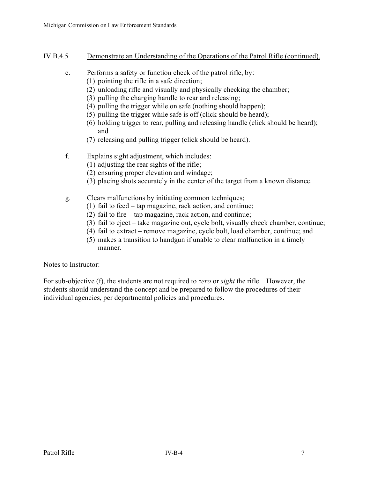### IV.B.4.5 Demonstrate an Understanding of the Operations of the Patrol Rifle (continued).

- e. Performs a safety or function check of the patrol rifle, by:
	- (1) pointing the rifle in a safe direction;
		- (2) unloading rifle and visually and physically checking the chamber;
		- (3) pulling the charging handle to rear and releasing;
		- (4) pulling the trigger while on safe (nothing should happen);
		- (5) pulling the trigger while safe is off (click should be heard);
		- (6) holding trigger to rear, pulling and releasing handle (click should be heard); and
	- (7) releasing and pulling trigger (click should be heard).
- f. Explains sight adjustment, which includes:
	- (1) adjusting the rear sights of the rifle;
	- (2) ensuring proper elevation and windage;
	- (3) placing shots accurately in the center of the target from a known distance.
- g. Clears malfunctions by initiating common techniques;
	- (1) fail to feed tap magazine, rack action, and continue;
	- (2) fail to fire tap magazine, rack action, and continue;
	- (3) fail to eject take magazine out, cycle bolt, visually check chamber, continue;
	- (4) fail to extract remove magazine, cycle bolt, load chamber, continue; and
	- (5) makes a transition to handgun if unable to clear malfunction in a timely manner.

#### Notes to Instructor:

For sub-objective (f), the students are not required to *zero* or *sight* the rifle. However, the students should understand the concept and be prepared to follow the procedures of their individual agencies, per departmental policies and procedures.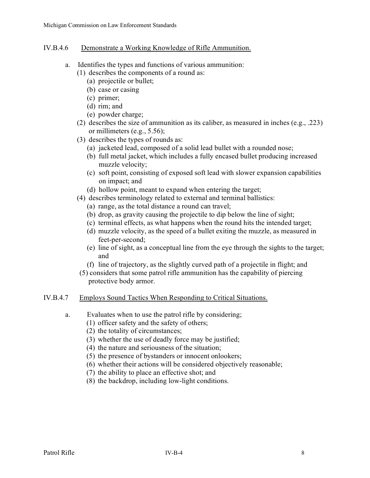### IV.B.4.6 Demonstrate a Working Knowledge of Rifle Ammunition.

- a. Identifies the types and functions of various ammunition:
	- (1) describes the components of a round as:
		- (a) projectile or bullet;
		- (b) case or casing
		- (c) primer;
		- (d) rim; and
		- (e) powder charge;
	- (2) describes the size of ammunition as its caliber, as measured in inches (e.g., .223) or millimeters (e.g., 5.56);
	- (3) describes the types of rounds as:
		- (a) jacketed lead, composed of a solid lead bullet with a rounded nose;
		- (b) full metal jacket, which includes a fully encased bullet producing increased muzzle velocity;
		- (c) soft point, consisting of exposed soft lead with slower expansion capabilities on impact; and
		- (d) hollow point, meant to expand when entering the target;
	- (4) describes terminology related to external and terminal ballistics:
		- (a) range, as the total distance a round can travel;
		- (b) drop, as gravity causing the projectile to dip below the line of sight;
		- (c) terminal effects, as what happens when the round hits the intended target;
		- (d) muzzle velocity, as the speed of a bullet exiting the muzzle, as measured in feet-per-second;
		- (e) line of sight, as a conceptual line from the eye through the sights to the target; and
		- (f) line of trajectory, as the slightly curved path of a projectile in flight; and
	- (5) considers that some patrol rifle ammunition has the capability of piercing protective body armor.

# IV.B.4.7 Employs Sound Tactics When Responding to Critical Situations.

- a. Evaluates when to use the patrol rifle by considering;
	- (1) officer safety and the safety of others;
	- (2) the totality of circumstances;
	- (3) whether the use of deadly force may be justified;
	- (4) the nature and seriousness of the situation;
	- (5) the presence of bystanders or innocent onlookers;
	- (6) whether their actions will be considered objectively reasonable;
	- (7) the ability to place an effective shot; and
	- (8) the backdrop, including low-light conditions.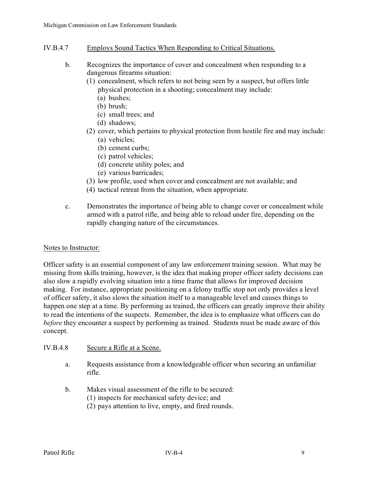- IV.B.4.7 Employs Sound Tactics When Responding to Critical Situations.
	- b. Recognizes the importance of cover and concealment when responding to a dangerous firearms situation:
		- (1) concealment, which refers to not being seen by a suspect, but offers little physical protection in a shooting; concealment may include:
			- (a) bushes;
			- (b) brush;
			- (c) small trees; and
			- (d) shadows;
		- (2) cover, which pertains to physical protection from hostile fire and may include:
			- (a) vehicles;
			- (b) cement curbs;
			- (c) patrol vehicles;
			- (d) concrete utility poles; and
			- (e) various barricades;
		- (3) low profile, used when cover and concealment are not available; and
		- (4) tactical retreat from the situation, when appropriate.
	- c. Demonstrates the importance of being able to change cover or concealment while armed with a patrol rifle, and being able to reload under fire, depending on the rapidly changing nature of the circumstances.

#### Notes to Instructor:

Officer safety is an essential component of any law enforcement training session. What may be missing from skills training, however, is the idea that making proper officer safety decisions can also slow a rapidly evolving situation into a time frame that allows for improved decision making. For instance, appropriate positioning on a felony traffic stop not only provides a level of officer safety, it also slows the situation itself to a manageable level and causes things to happen one step at a time. By performing as trained, the officers can greatly improve their ability to read the intentions of the suspects. Remember, the idea is to emphasize what officers can do *before* they encounter a suspect by performing as trained. Students must be made aware of this concept.

#### IV.B.4.8 Secure a Rifle at a Scene.

- a. Requests assistance from a knowledgeable officer when securing an unfamiliar rifle.
- b. Makes visual assessment of the rifle to be secured:
	- (1) inspects for mechanical safety device; and
	- (2) pays attention to live, empty, and fired rounds.